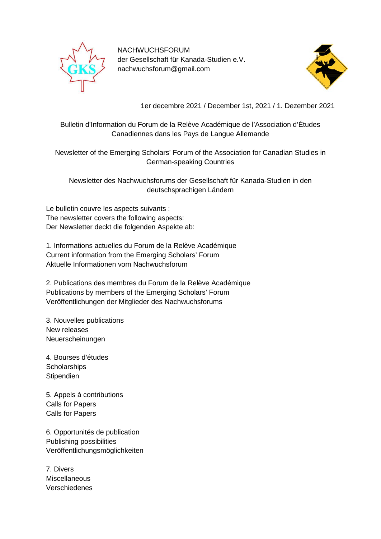

NACHWUCHSFORUM der Gesellschaft für Kanada-Studien e.V. nachwuchsforum@gmail.com



1er decembre 2021 / December 1st, 2021 / 1. Dezember 2021

Bulletin d'Information du Forum de la Relève Académique de l'Association d'Études Canadiennes dans les Pays de Langue Allemande

Newsletter of the Emerging Scholars' Forum of the Association for Canadian Studies in German-speaking Countries

Newsletter des Nachwuchsforums der Gesellschaft für Kanada-Studien in den deutschsprachigen Ländern

Le bulletin couvre les aspects suivants : The newsletter covers the following aspects: Der Newsletter deckt die folgenden Aspekte ab:

1. Informations actuelles du Forum de la Relève Académique Current information from the Emerging Scholars' Forum Aktuelle Informationen vom Nachwuchsforum

2. Publications des membres du Forum de la Relève Académique Publications by members of the Emerging Scholars' Forum Veröffentlichungen der Mitglieder des Nachwuchsforums

3. Nouvelles publications New releases Neuerscheinungen

4. Bourses d'études **Scholarships Stipendien** 

5. Appels à contributions Calls for Papers Calls for Papers

6. Opportunités de publication Publishing possibilities Veröffentlichungsmöglichkeiten

7. Divers **Miscellaneous** Verschiedenes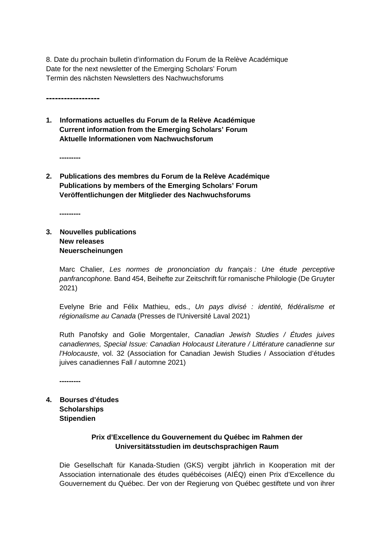8. Date du prochain bulletin d'information du Forum de la Relève Académique Date for the next newsletter of the Emerging Scholars' Forum Termin des nächsten Newsletters des Nachwuchsforums

**------------------**

**1. Informations actuelles du Forum de la Relève Académique Current information from the Emerging Scholars' Forum Aktuelle Informationen vom Nachwuchsforum**

**---------**

**2. Publications des membres du Forum de la Relève Académique Publications by members of the Emerging Scholars' Forum Veröffentlichungen der Mitglieder des Nachwuchsforums**

**---------**

**3. Nouvelles publications New releases Neuerscheinungen**

> Marc Chalier, *Les normes de prononciation du français : Une étude perceptive panfrancophone.* Band 454, Beihefte zur Zeitschrift für romanische Philologie (De Gruyter 2021)

> Evelyne Brie and Félix Mathieu, eds., *Un pays divisé : identité, fédéralisme et régionalisme au Canada* (Presses de l'Université Laval 2021)

> Ruth Panofsky and Golie Morgentaler, *Canadian Jewish Studies / Études juives canadiennes, Special Issue: Canadian Holocaust Literature / Littérature canadienne sur l'Holocauste*, vol. 32 (Association for Canadian Jewish Studies / Association d'études juives canadiennes Fall / automne 2021)

**---------**

**4. Bourses d'études Scholarships Stipendien**

# **Prix d'Excellence du Gouvernement du Québec im Rahmen der Universitätsstudien im deutschsprachigen Raum**

Die Gesellschaft für Kanada-Studien (GKS) vergibt jährlich in Kooperation mit der Association internationale des études québécoises (AIÉQ) einen Prix d'Excellence du Gouvernement du Québec. Der von der Regierung von Québec gestiftete und von ihrer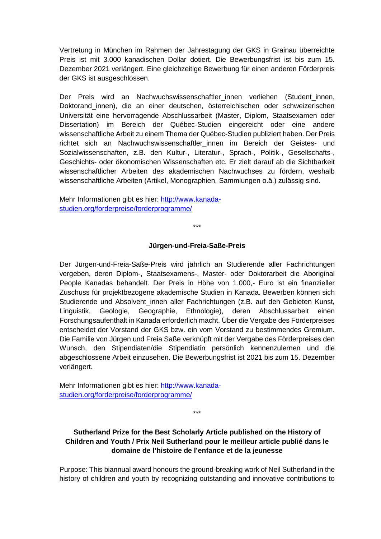Vertretung in München im Rahmen der Jahrestagung der GKS in Grainau überreichte Preis ist mit 3.000 kanadischen Dollar dotiert. Die Bewerbungsfrist ist bis zum 15. Dezember 2021 verlängert. Eine gleichzeitige Bewerbung für einen anderen Förderpreis der GKS ist ausgeschlossen.

Der Preis wird an Nachwuchswissenschaftler\_innen verliehen (Student\_innen, Doktorand\_innen), die an einer deutschen, österreichischen oder schweizerischen Universität eine hervorragende Abschlussarbeit (Master, Diplom, Staatsexamen oder Dissertation) im Bereich der Québec-Studien eingereicht oder eine andere wissenschaftliche Arbeit zu einem Thema der Québec-Studien publiziert haben. Der Preis richtet sich an Nachwuchswissenschaftler innen im Bereich der Geistes- und Sozialwissenschaften, z.B. den Kultur-, Literatur-, Sprach-, Politik-, Gesellschafts-, Geschichts- oder ökonomischen Wissenschaften etc. Er zielt darauf ab die Sichtbarkeit wissenschaftlicher Arbeiten des akademischen Nachwuchses zu fördern, weshalb wissenschaftliche Arbeiten (Artikel, Monographien, Sammlungen o.ä.) zulässig sind.

Mehr Informationen gibt es hier: [http://www.kanada](http://www.kanada-studien.org/forderpreise/forderprogramme/)[studien.org/forderpreise/forderprogramme/](http://www.kanada-studien.org/forderpreise/forderprogramme/)

\*\*\*

#### **Jürgen-und-Freia-Saße-Preis**

Der Jürgen-und-Freia-Saße-Preis wird jährlich an Studierende aller Fachrichtungen vergeben, deren Diplom-, Staatsexamens-, Master- oder Doktorarbeit die Aboriginal People Kanadas behandelt. Der Preis in Höhe von 1.000,- Euro ist ein finanzieller Zuschuss für projektbezogene akademische Studien in Kanada. Bewerben können sich Studierende und Absolvent innen aller Fachrichtungen (z.B. auf den Gebieten Kunst, Linguistik, Geologie, Geographie, Ethnologie), deren Abschlussarbeit einen Forschungsaufenthalt in Kanada erforderlich macht. Über die Vergabe des Förderpreises entscheidet der Vorstand der GKS bzw. ein vom Vorstand zu bestimmendes Gremium. Die Familie von Jürgen und Freia Saße verknüpft mit der Vergabe des Förderpreises den Wunsch, den Stipendiaten/die Stipendiatin persönlich kennenzulernen und die abgeschlossene Arbeit einzusehen. Die Bewerbungsfrist ist 2021 bis zum 15. Dezember verlängert.

Mehr Informationen gibt es hier: [http://www.kanada](http://www.kanada-studien.org/forderpreise/forderprogramme/)[studien.org/forderpreise/forderprogramme/](http://www.kanada-studien.org/forderpreise/forderprogramme/)

**Sutherland Prize for the Best Scholarly Article published on the History of Children and Youth / Prix Neil Sutherland pour le meilleur article publié dans le domaine de l'histoire de l'enfance et de la jeunesse**

\*\*\*

Purpose: This biannual award honours the ground-breaking work of Neil Sutherland in the history of children and youth by recognizing outstanding and innovative contributions to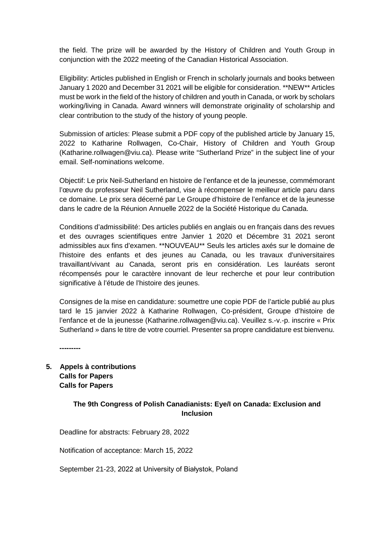the field. The prize will be awarded by the History of Children and Youth Group in conjunction with the 2022 meeting of the Canadian Historical Association.

Eligibility: Articles published in English or French in scholarly journals and books between January 1 2020 and December 31 2021 will be eligible for consideration. \*\*NEW\*\* Articles must be work in the field of the history of children and youth in Canada, or work by scholars working/living in Canada. Award winners will demonstrate originality of scholarship and clear contribution to the study of the history of young people.

Submission of articles: Please submit a PDF copy of the published article by January 15, 2022 to Katharine Rollwagen, Co-Chair, History of Children and Youth Group (Katharine.rollwagen@viu.ca). Please write "Sutherland Prize" in the subject line of your email. Self-nominations welcome.

Objectif: Le prix Neil-Sutherland en histoire de l'enfance et de la jeunesse, commémorant l'œuvre du professeur Neil Sutherland, vise à récompenser le meilleur article paru dans ce domaine. Le prix sera décerné par Le Groupe d'histoire de l'enfance et de la jeunesse dans le cadre de la Réunion Annuelle 2022 de la Société Historique du Canada.

Conditions d'admissibilité: Des articles publiés en anglais ou en français dans des revues et des ouvrages scientifiques entre Janvier 1 2020 et Décembre 31 2021 seront admissibles aux fins d'examen. \*\*NOUVEAU\*\* Seuls les articles axés sur le domaine de l'histoire des enfants et des jeunes au Canada, ou les travaux d'universitaires travaillant/vivant au Canada, seront pris en considération. Les lauréats seront récompensés pour le caractère innovant de leur recherche et pour leur contribution significative à l'étude de l'histoire des jeunes.

Consignes de la mise en candidature: soumettre une copie PDF de l'article publié au plus tard le 15 janvier 2022 à Katharine Rollwagen, Co-président, Groupe d'histoire de l'enfance et de la jeunesse (Katharine.rollwagen@viu.ca). Veuillez s.-v.-p. inscrire « Prix Sutherland » dans le titre de votre courriel. Presenter sa propre candidature est bienvenu.

**---------**

**5. Appels à contributions Calls for Papers Calls for Papers**

# **The 9th Congress of Polish Canadianists: Eye/I on Canada: Exclusion and Inclusion**

Deadline for abstracts: February 28, 2022

Notification of acceptance: March 15, 2022

September 21-23, 2022 at University of Białystok, Poland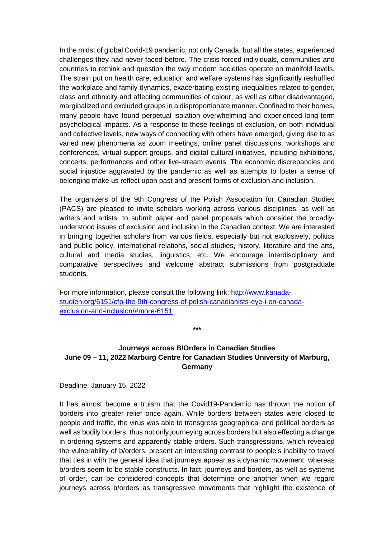In the midst of global Covid-19 pandemic, not only Canada, but all the states, experienced challenges they had never faced before. The crisis forced individuals, communities and countries to rethink and question the way modern societies operate on manifold levels. The strain put on health care, education and welfare systems has significantly reshuffled the workplace and family dynamics, exacerbating existing inequalities related to gender, class and ethnicity and affecting communities of colour, as well as other disadvantaged, marginalized and excluded groups in a disproportionate manner. Confined to their homes, many people have found perpetual isolation overwhelming and experienced long-term psychological impacts. As a response to these feelings of exclusion, on both individual and collective levels, new ways of connecting with others have emerged, giving rise to as varied new phenomena as zoom meetings, online panel discussions, workshops and conferences, virtual support groups, and digital cultural initiatives, including exhibitions, concerts, performances and other live-stream events. The economic discrepancies and social injustice aggravated by the pandemic as well as attempts to foster a sense of belonging make us reflect upon past and present forms of exclusion and inclusion.

The organizers of the 9th Congress of the Polish Association for Canadian Studies (PACS) are pleased to invite scholars working across various disciplines, as well as writers and artists, to submit paper and panel proposals which consider the broadlyunderstood issues of exclusion and inclusion in the Canadian context. We are interested in bringing together scholars from various fields, especially but not exclusively, politics and public policy, international relations, social studies, history, literature and the arts, cultural and media studies, linguistics, etc. We encourage interdisciplinary and comparative perspectives and welcome abstract submissions from postgraduate students.

For more information, please consult the following link: [http://www.kanada](http://www.kanada-studien.org/6151/cfp-the-9th-congress-of-polish-canadianists-eye-i-on-canada-exclusion-and-inclusion/#more-6151)[studien.org/6151/cfp-the-9th-congress-of-polish-canadianists-eye-i-on-canada](http://www.kanada-studien.org/6151/cfp-the-9th-congress-of-polish-canadianists-eye-i-on-canada-exclusion-and-inclusion/#more-6151)[exclusion-and-inclusion/#more-6151](http://www.kanada-studien.org/6151/cfp-the-9th-congress-of-polish-canadianists-eye-i-on-canada-exclusion-and-inclusion/#more-6151)

## **Journeys across B/Orders in Canadian Studies June 09 – 11, 2022 Marburg Centre for Canadian Studies University of Marburg, Germany**

**\*\*\***

Deadline: January 15, 2022

It has almost become a truism that the Covid19-Pandemic has thrown the notion of borders into greater relief once again. While borders between states were closed to people and traffic, the virus was able to transgress geographical and political borders as well as bodily borders, thus not only journeying across borders but also effecting a change in ordering systems and apparently stable orders. Such transgressions, which revealed the vulnerability of b/orders, present an interesting contrast to people's inability to travel that ties in with the general idea that journeys appear as a dynamic movement, whereas b/orders seem to be stable constructs. In fact, journeys and borders, as well as systems of order, can be considered concepts that determine one another when we regard journeys across b/orders as transgressive movements that highlight the existence of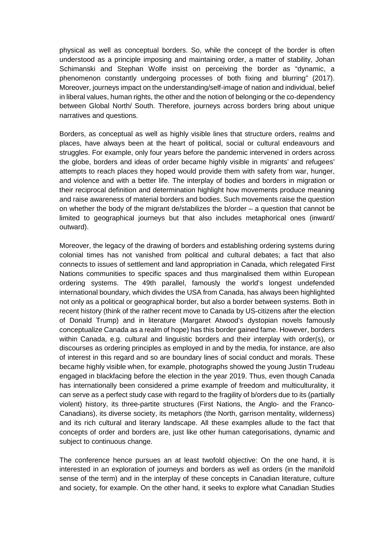physical as well as conceptual borders. So, while the concept of the border is often understood as a principle imposing and maintaining order, a matter of stability, Johan Schimanski and Stephan Wolfe insist on perceiving the border as "dynamic, a phenomenon constantly undergoing processes of both fixing and blurring" (2017). Moreover, journeys impact on the understanding/self-image of nation and individual, belief in liberal values, human rights, the other and the notion of belonging or the co-dependency between Global North/ South. Therefore, journeys across borders bring about unique narratives and questions.

Borders, as conceptual as well as highly visible lines that structure orders, realms and places, have always been at the heart of political, social or cultural endeavours and struggles. For example, only four years before the pandemic intervened in orders across the globe, borders and ideas of order became highly visible in migrants' and refugees' attempts to reach places they hoped would provide them with safety from war, hunger, and violence and with a better life. The interplay of bodies and borders in migration or their reciprocal definition and determination highlight how movements produce meaning and raise awareness of material borders and bodies. Such movements raise the question on whether the body of the migrant de/stabilizes the b/order – a question that cannot be limited to geographical journeys but that also includes metaphorical ones (inward/ outward).

Moreover, the legacy of the drawing of borders and establishing ordering systems during colonial times has not vanished from political and cultural debates; a fact that also connects to issues of settlement and land appropriation in Canada, which relegated First Nations communities to specific spaces and thus marginalised them within European ordering systems. The 49th parallel, famously the world's longest undefended international boundary, which divides the USA from Canada, has always been highlighted not only as a political or geographical border, but also a border between systems. Both in recent history (think of the rather recent move to Canada by US-citizens after the election of Donald Trump) and in literature (Margaret Atwood's dystopian novels famously conceptualize Canada as a realm of hope) has this border gained fame. However, borders within Canada, e.g. cultural and linguistic borders and their interplay with order(s), or discourses as ordering principles as employed in and by the media, for instance, are also of interest in this regard and so are boundary lines of social conduct and morals. These became highly visible when, for example, photographs showed the young Justin Trudeau engaged in blackfacing before the election in the year 2019. Thus, even though Canada has internationally been considered a prime example of freedom and multiculturality, it can serve as a perfect study case with regard to the fragility of b/orders due to its (partially violent) history, its three-partite structures (First Nations, the Anglo- and the Franco-Canadians), its diverse society, its metaphors (the North, garrison mentality, wilderness) and its rich cultural and literary landscape. All these examples allude to the fact that concepts of order and borders are, just like other human categorisations, dynamic and subject to continuous change.

The conference hence pursues an at least twofold objective: On the one hand, it is interested in an exploration of journeys and borders as well as orders (in the manifold sense of the term) and in the interplay of these concepts in Canadian literature, culture and society, for example. On the other hand, it seeks to explore what Canadian Studies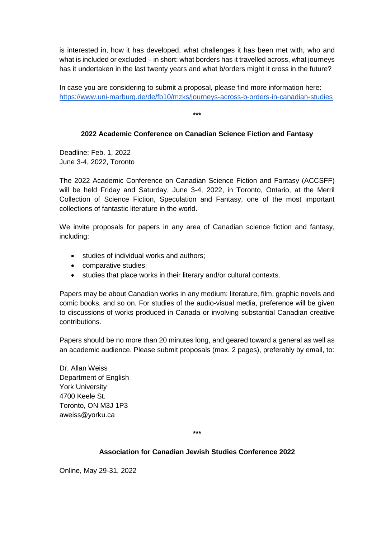is interested in, how it has developed, what challenges it has been met with, who and what is included or excluded – in short: what borders has it travelled across, what journeys has it undertaken in the last twenty years and what b/orders might it cross in the future?

In case you are considering to submit a proposal, please find more information here: <https://www.uni-marburg.de/de/fb10/mzks/journeys-across-b-orders-in-canadian-studies>

**\*\*\***

# **2022 Academic Conference on Canadian Science Fiction and Fantasy**

Deadline: Feb. 1, 2022 June 3-4, 2022, Toronto

The 2022 Academic Conference on Canadian Science Fiction and Fantasy (ACCSFF) will be held Friday and Saturday, June 3-4, 2022, in Toronto, Ontario, at the Merril Collection of Science Fiction, Speculation and Fantasy, one of the most important collections of fantastic literature in the world.

We invite proposals for papers in any area of Canadian science fiction and fantasy, including:

- studies of individual works and authors;
- comparative studies;
- studies that place works in their literary and/or cultural contexts.

Papers may be about Canadian works in any medium: literature, film, graphic novels and comic books, and so on. For studies of the audio-visual media, preference will be given to discussions of works produced in Canada or involving substantial Canadian creative contributions.

Papers should be no more than 20 minutes long, and geared toward a general as well as an academic audience. Please submit proposals (max. 2 pages), preferably by email, to:

Dr. Allan Weiss Department of English York University 4700 Keele St. Toronto, ON M3J 1P3 aweiss@yorku.ca

**\*\*\***

### **Association for Canadian Jewish Studies Conference 2022**

Online, May 29-31, 2022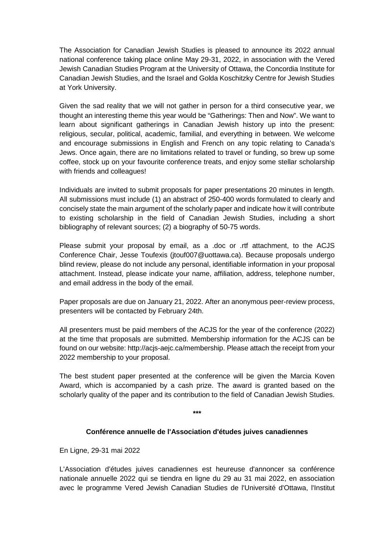The Association for Canadian Jewish Studies is pleased to announce its 2022 annual national conference taking place online May 29-31, 2022, in association with the Vered Jewish Canadian Studies Program at the University of Ottawa, the Concordia Institute for Canadian Jewish Studies, and the Israel and Golda Koschitzky Centre for Jewish Studies at York University.

Given the sad reality that we will not gather in person for a third consecutive year, we thought an interesting theme this year would be "Gatherings: Then and Now". We want to learn about significant gatherings in Canadian Jewish history up into the present: religious, secular, political, academic, familial, and everything in between. We welcome and encourage submissions in English and French on any topic relating to Canada's Jews. Once again, there are no limitations related to travel or funding, so brew up some coffee, stock up on your favourite conference treats, and enjoy some stellar scholarship with friends and colleagues!

Individuals are invited to submit proposals for paper presentations 20 minutes in length. All submissions must include (1) an abstract of 250-400 words formulated to clearly and concisely state the main argument of the scholarly paper and indicate how it will contribute to existing scholarship in the field of Canadian Jewish Studies, including a short bibliography of relevant sources; (2) a biography of 50-75 words.

Please submit your proposal by email, as a .doc or .rtf attachment, to the ACJS Conference Chair, Jesse Toufexis (jtouf007@uottawa.ca). Because proposals undergo blind review, please do not include any personal, identifiable information in your proposal attachment. Instead, please indicate your name, affiliation, address, telephone number, and email address in the body of the email.

Paper proposals are due on January 21, 2022. After an anonymous peer-review process, presenters will be contacted by February 24th.

All presenters must be paid members of the ACJS for the year of the conference (2022) at the time that proposals are submitted. Membership information for the ACJS can be found on our website: http://acjs-aejc.ca/membership. Please attach the receipt from your 2022 membership to your proposal.

The best student paper presented at the conference will be given the Marcia Koven Award, which is accompanied by a cash prize. The award is granted based on the scholarly quality of the paper and its contribution to the field of Canadian Jewish Studies.

**\*\*\***

### **Conférence annuelle de l'Association d'études juives canadiennes**

En Ligne, 29-31 mai 2022

L'Association d'études juives canadiennes est heureuse d'annoncer sa conférence nationale annuelle 2022 qui se tiendra en ligne du 29 au 31 mai 2022, en association avec le programme Vered Jewish Canadian Studies de l'Université d'Ottawa, l'Institut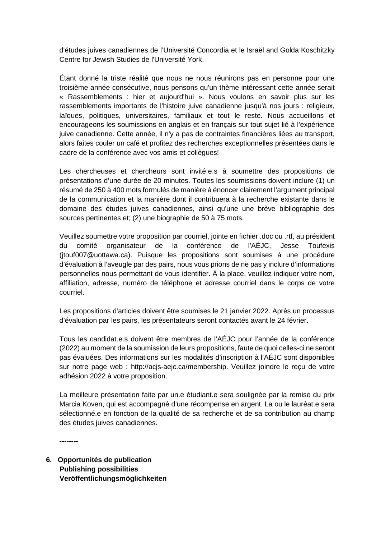d'études juives canadiennes de l'Université Concordia et le Israël and Golda Koschitzky Centre for Jewish Studies de l'Université York.

Étant donné la triste réalité que nous ne nous réunirons pas en personne pour une troisième année consécutive, nous pensons qu'un thème intéressant cette année serait « Rassemblements : hier et aujourd'hui ». Nous voulons en savoir plus sur les rassemblements importants de l'histoire juive canadienne jusqu'à nos jours : religieux, laïques, politiques, universitaires, familiaux et tout le reste. Nous accueillons et encourageons les soumissions en anglais et en français sur tout sujet lié à l'expérience juive canadienne. Cette année, il n'y a pas de contraintes financières liées au transport, alors faites couler un café et profitez des recherches exceptionnelles présentées dans le cadre de la conférence avec vos amis et collègues!

Les chercheuses et chercheurs sont invité.e.s à soumettre des propositions de présentations d'une durée de 20 minutes. Toutes les soumissions doivent inclure (1) un résumé de 250 à 400 mots formulés de manière à énoncer clairement l'argument principal de la communication et la manière dont il contribuera à la recherche existante dans le domaine des études juives canadiennes, ainsi qu'une une brève bibliographie des sources pertinentes et; (2) une biographie de 50 à 75 mots.

Veuillez soumettre votre proposition par courriel, jointe en fichier .doc ou .rtf, au président du comité organisateur de la conférence de l'AÉJC, Jesse Toufexis (jtouf007@uottawa.ca). Puisque les propositions sont soumises à une procédure d'évaluation à l'aveugle par des pairs, nous vous prions de ne pas y inclure d'informations personnelles nous permettant de vous identifier. À la place, veuillez indiquer votre nom, affiliation, adresse, numéro de téléphone et adresse courriel dans le corps de votre courriel.

Les propositions d'articles doivent être soumises le 21 janvier 2022. Après un processus d'évaluation par les pairs, les présentateurs seront contactés avant le 24 février.

Tous les candidat.e.s doivent être membres de l'AÉJC pour l'année de la conférence (2022) au moment de la soumission de leurs propositions, faute de quoi celles-ci ne seront pas évaluées. Des informations sur les modalités d'inscription à l'AÉJC sont disponibles sur notre page web : http://acjs-aejc.ca/membership. Veuillez joindre le reçu de votre adhésion 2022 à votre proposition.

La meilleure présentation faite par un.e étudiant.e sera soulignée par la remise du prix Marcia Koven, qui est accompagné d'une récompense en argent. La ou le lauréat.e sera sélectionné.e en fonction de la qualité de sa recherche et de sa contribution au champ des études juives canadiennes.

**--------**

**6. Opportunités de publication Publishing possibilities Veröffentlichungsmöglichkeiten**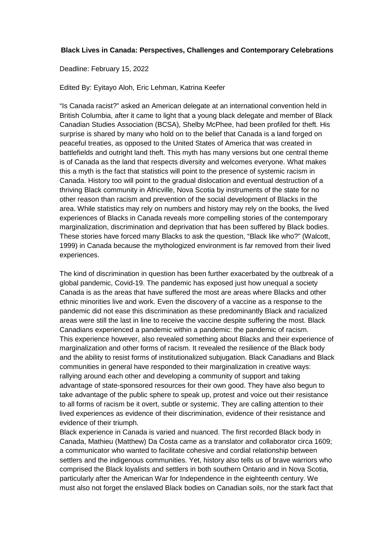### **Black Lives in Canada: Perspectives, Challenges and Contemporary Celebrations**

Deadline: February 15, 2022

Edited By: Eyitayo Aloh, Eric Lehman, Katrina Keefer

"Is Canada racist?" asked an American delegate at an international convention held in British Columbia, after it came to light that a young black delegate and member of Black Canadian Studies Association (BCSA), Shelby McPhee, had been profiled for theft. His surprise is shared by many who hold on to the belief that Canada is a land forged on peaceful treaties, as opposed to the United States of America that was created in battlefields and outright land theft. This myth has many versions but one central theme is of Canada as the land that respects diversity and welcomes everyone. What makes this a myth is the fact that statistics will point to the presence of systemic racism in Canada. History too will point to the gradual dislocation and eventual destruction of a thriving Black community in Africville, Nova Scotia by instruments of the state for no other reason than racism and prevention of the social development of Blacks in the area. While statistics may rely on numbers and history may rely on the books, the lived experiences of Blacks in Canada reveals more compelling stories of the contemporary marginalization, discrimination and deprivation that has been suffered by Black bodies. These stories have forced many Blacks to ask the question, "Black like who?" (Walcott, 1999) in Canada because the mythologized environment is far removed from their lived experiences.

The kind of discrimination in question has been further exacerbated by the outbreak of a global pandemic, Covid-19. The pandemic has exposed just how unequal a society Canada is as the areas that have suffered the most are areas where Blacks and other ethnic minorities live and work. Even the discovery of a vaccine as a response to the pandemic did not ease this discrimination as these predominantly Black and racialized areas were still the last in line to receive the vaccine despite suffering the most. Black Canadians experienced a pandemic within a pandemic: the pandemic of racism. This experience however, also revealed something about Blacks and their experience of marginalization and other forms of racism. It revealed the resilience of the Black body and the ability to resist forms of institutionalized subjugation. Black Canadians and Black communities in general have responded to their marginalization in creative ways: rallying around each other and developing a community of support and taking advantage of state-sponsored resources for their own good. They have also begun to take advantage of the public sphere to speak up, protest and voice out their resistance to all forms of racism be it overt, subtle or systemic. They are calling attention to their lived experiences as evidence of their discrimination, evidence of their resistance and evidence of their triumph.

Black experience in Canada is varied and nuanced. The first recorded Black body in Canada, Mathieu (Matthew) Da Costa came as a translator and collaborator circa 1609; a communicator who wanted to facilitate cohesive and cordial relationship between settlers and the indigenous communities. Yet, history also tells us of brave warriors who comprised the Black loyalists and settlers in both southern Ontario and in Nova Scotia, particularly after the American War for Independence in the eighteenth century. We must also not forget the enslaved Black bodies on Canadian soils, nor the stark fact that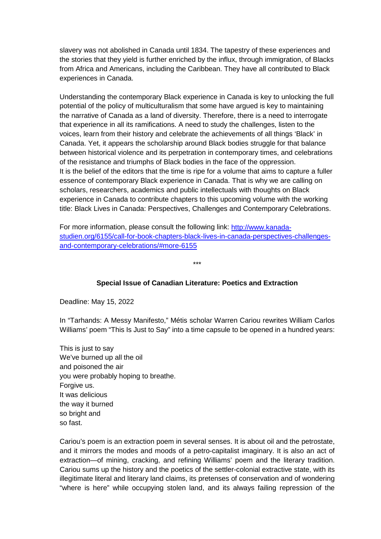slavery was not abolished in Canada until 1834. The tapestry of these experiences and the stories that they yield is further enriched by the influx, through immigration, of Blacks from Africa and Americans, including the Caribbean. They have all contributed to Black experiences in Canada.

Understanding the contemporary Black experience in Canada is key to unlocking the full potential of the policy of multiculturalism that some have argued is key to maintaining the narrative of Canada as a land of diversity. Therefore, there is a need to interrogate that experience in all its ramifications. A need to study the challenges, listen to the voices, learn from their history and celebrate the achievements of all things 'Black' in Canada. Yet, it appears the scholarship around Black bodies struggle for that balance between historical violence and its perpetration in contemporary times, and celebrations of the resistance and triumphs of Black bodies in the face of the oppression. It is the belief of the editors that the time is ripe for a volume that aims to capture a fuller essence of contemporary Black experience in Canada. That is why we are calling on scholars, researchers, academics and public intellectuals with thoughts on Black experience in Canada to contribute chapters to this upcoming volume with the working title: Black Lives in Canada: Perspectives, Challenges and Contemporary Celebrations.

For more information, please consult the following link: [http://www.kanada](http://www.kanada-studien.org/6155/call-for-book-chapters-black-lives-in-canada-perspectives-challenges-and-contemporary-celebrations/#more-6155)[studien.org/6155/call-for-book-chapters-black-lives-in-canada-perspectives-challenges](http://www.kanada-studien.org/6155/call-for-book-chapters-black-lives-in-canada-perspectives-challenges-and-contemporary-celebrations/#more-6155)[and-contemporary-celebrations/#more-6155](http://www.kanada-studien.org/6155/call-for-book-chapters-black-lives-in-canada-perspectives-challenges-and-contemporary-celebrations/#more-6155)

# **Special Issue of Canadian Literature: Poetics and Extraction**

\*\*\*

Deadline: May 15, 2022

In "Tarhands: A Messy Manifesto," Métis scholar Warren Cariou rewrites William Carlos Williams' poem "This Is Just to Say" into a time capsule to be opened in a hundred years:

This is just to say We've burned up all the oil and poisoned the air you were probably hoping to breathe. Forgive us. It was delicious the way it burned so bright and so fast.

Cariou's poem is an extraction poem in several senses. It is about oil and the petrostate, and it mirrors the modes and moods of a petro-capitalist imaginary. It is also an act of extraction—of mining, cracking, and refining Williams' poem and the literary tradition. Cariou sums up the history and the poetics of the settler-colonial extractive state, with its illegitimate literal and literary land claims, its pretenses of conservation and of wondering "where is here" while occupying stolen land, and its always failing repression of the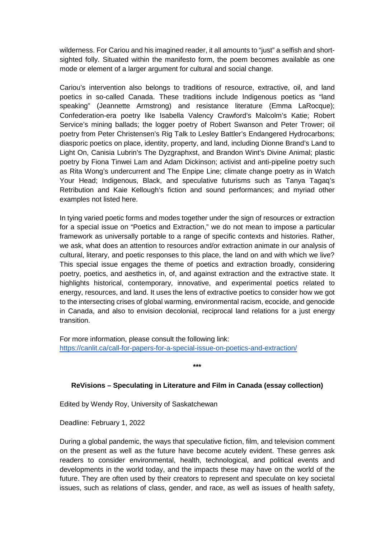wilderness. For Cariou and his imagined reader, it all amounts to "just" a selfish and shortsighted folly. Situated within the manifesto form, the poem becomes available as one mode or element of a larger argument for cultural and social change.

Cariou's intervention also belongs to traditions of resource, extractive, oil, and land poetics in so-called Canada. These traditions include Indigenous poetics as "land speaking" (Jeannette Armstrong) and resistance literature (Emma LaRocque); Confederation-era poetry like Isabella Valency Crawford's Malcolm's Katie; Robert Service's mining ballads; the logger poetry of Robert Swanson and Peter Trower; oil poetry from Peter Christensen's Rig Talk to Lesley Battler's Endangered Hydrocarbons; diasporic poetics on place, identity, property, and land, including Dionne Brand's Land to Light On, Canisia Lubrin's The Dyzgraphxst, and Brandon Wint's Divine Animal; plastic poetry by Fiona Tinwei Lam and Adam Dickinson; activist and anti-pipeline poetry such as Rita Wong's undercurrent and The Enpipe Line; climate change poetry as in Watch Your Head; Indigenous, Black, and speculative futurisms such as Tanya Tagaq's Retribution and Kaie Kellough's fiction and sound performances; and myriad other examples not listed here.

In tying varied poetic forms and modes together under the sign of resources or extraction for a special issue on "Poetics and Extraction," we do not mean to impose a particular framework as universally portable to a range of specific contexts and histories. Rather, we ask, what does an attention to resources and/or extraction animate in our analysis of cultural, literary, and poetic responses to this place, the land on and with which we live? This special issue engages the theme of poetics and extraction broadly, considering poetry, poetics, and aesthetics in, of, and against extraction and the extractive state. It highlights historical, contemporary, innovative, and experimental poetics related to energy, resources, and land. It uses the lens of extractive poetics to consider how we got to the intersecting crises of global warming, environmental racism, ecocide, and genocide in Canada, and also to envision decolonial, reciprocal land relations for a just energy transition.

For more information, please consult the following link: <https://canlit.ca/call-for-papers-for-a-special-issue-on-poetics-and-extraction/>

**\*\*\***

### **ReVisions – Speculating in Literature and Film in Canada (essay collection)**

Edited by Wendy Roy, University of Saskatchewan

Deadline: February 1, 2022

During a global pandemic, the ways that speculative fiction, film, and television comment on the present as well as the future have become acutely evident. These genres ask readers to consider environmental, health, technological, and political events and developments in the world today, and the impacts these may have on the world of the future. They are often used by their creators to represent and speculate on key societal issues, such as relations of class, gender, and race, as well as issues of health safety,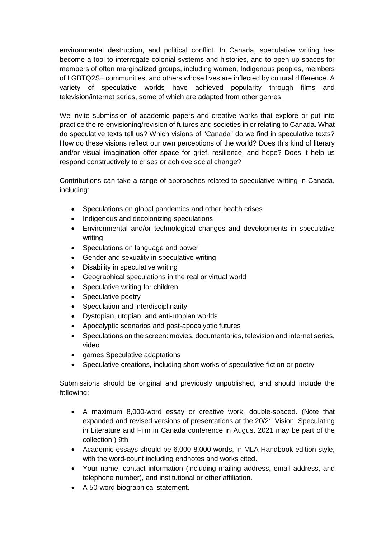environmental destruction, and political conflict. In Canada, speculative writing has become a tool to interrogate colonial systems and histories, and to open up spaces for members of often marginalized groups, including women, Indigenous peoples, members of LGBTQ2S+ communities, and others whose lives are inflected by cultural difference. A variety of speculative worlds have achieved popularity through films and television/internet series, some of which are adapted from other genres.

We invite submission of academic papers and creative works that explore or put into practice the re-envisioning/revision of futures and societies in or relating to Canada. What do speculative texts tell us? Which visions of "Canada" do we find in speculative texts? How do these visions reflect our own perceptions of the world? Does this kind of literary and/or visual imagination offer space for grief, resilience, and hope? Does it help us respond constructively to crises or achieve social change?

Contributions can take a range of approaches related to speculative writing in Canada, including:

- Speculations on global pandemics and other health crises
- Indigenous and decolonizing speculations
- Environmental and/or technological changes and developments in speculative writing
- Speculations on language and power
- Gender and sexuality in speculative writing
- Disability in speculative writing
- Geographical speculations in the real or virtual world
- Speculative writing for children
- Speculative poetry
- Speculation and interdisciplinarity
- Dystopian, utopian, and anti-utopian worlds
- Apocalyptic scenarios and post-apocalyptic futures
- Speculations on the screen: movies, documentaries, television and internet series, video
- games Speculative adaptations
- Speculative creations, including short works of speculative fiction or poetry

Submissions should be original and previously unpublished, and should include the following:

- A maximum 8,000-word essay or creative work, double-spaced. (Note that expanded and revised versions of presentations at the 20/21 Vision: Speculating in Literature and Film in Canada conference in August 2021 may be part of the collection.) 9th
- Academic essays should be 6,000-8,000 words, in MLA Handbook edition style, with the word-count including endnotes and works cited.
- Your name, contact information (including mailing address, email address, and telephone number), and institutional or other affiliation.
- A 50-word biographical statement.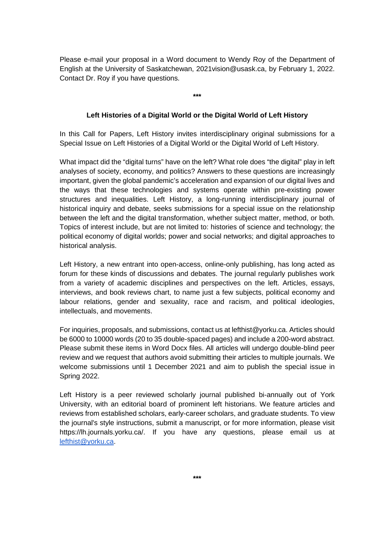Please e-mail your proposal in a Word document to Wendy Roy of the Department of English at the University of Saskatchewan, 2021vision@usask.ca, by February 1, 2022. Contact Dr. Roy if you have questions.

**\*\*\***

#### **Left Histories of a Digital World or the Digital World of Left History**

In this Call for Papers, Left History invites interdisciplinary original submissions for a Special Issue on Left Histories of a Digital World or the Digital World of Left History.

What impact did the "digital turns" have on the left? What role does "the digital" play in left analyses of society, economy, and politics? Answers to these questions are increasingly important, given the global pandemic's acceleration and expansion of our digital lives and the ways that these technologies and systems operate within pre-existing power structures and inequalities. Left History, a long-running interdisciplinary journal of historical inquiry and debate, seeks submissions for a special issue on the relationship between the left and the digital transformation, whether subject matter, method, or both. Topics of interest include, but are not limited to: histories of science and technology; the political economy of digital worlds; power and social networks; and digital approaches to historical analysis.

Left History, a new entrant into open-access, online-only publishing, has long acted as forum for these kinds of discussions and debates. The journal regularly publishes work from a variety of academic disciplines and perspectives on the left. Articles, essays, interviews, and book reviews chart, to name just a few subjects, political economy and labour relations, gender and sexuality, race and racism, and political ideologies, intellectuals, and movements.

For inquiries, proposals, and submissions, contact us at lefthist@yorku.ca. Articles should be 6000 to 10000 words (20 to 35 double-spaced pages) and include a 200-word abstract. Please submit these items in Word Docx files. All articles will undergo double-blind peer review and we request that authors avoid submitting their articles to multiple journals. We welcome submissions until 1 December 2021 and aim to publish the special issue in Spring 2022.

Left History is a peer reviewed scholarly journal published bi-annually out of York University, with an editorial board of prominent left historians. We feature articles and reviews from established scholars, early-career scholars, and graduate students. To view the journal's style instructions, submit a manuscript, or for more information, please visit https://lh.journals.yorku.ca/. If you have any questions, please email us at [lefthist@yorku.ca.](mailto:lefthist@yorku.ca)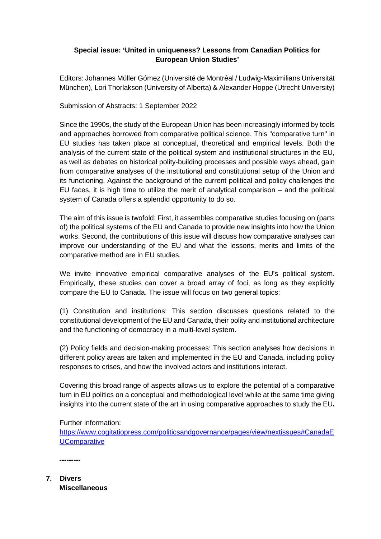## **Special issue: 'United in uniqueness? Lessons from Canadian Politics for European Union Studies'**

Editors: Johannes Müller Gómez (Université de Montréal / Ludwig-Maximilians Universität München), Lori Thorlakson (University of Alberta) & Alexander Hoppe (Utrecht University)

Submission of Abstracts: 1 September 2022

Since the 1990s, the study of the European Union has been increasingly informed by tools and approaches borrowed from comparative political science. This "comparative turn" in EU studies has taken place at conceptual, theoretical and empirical levels. Both the analysis of the current state of the political system and institutional structures in the EU, as well as debates on historical polity-building processes and possible ways ahead, gain from comparative analyses of the institutional and constitutional setup of the Union and its functioning. Against the background of the current political and policy challenges the EU faces, it is high time to utilize the merit of analytical comparison – and the political system of Canada offers a splendid opportunity to do so.

The aim of this issue is twofold: First, it assembles comparative studies focusing on (parts of) the political systems of the EU and Canada to provide new insights into how the Union works. Second, the contributions of this issue will discuss how comparative analyses can improve our understanding of the EU and what the lessons, merits and limits of the comparative method are in EU studies.

We invite innovative empirical comparative analyses of the EU's political system. Empirically, these studies can cover a broad array of foci, as long as they explicitly compare the EU to Canada. The issue will focus on two general topics:

(1) Constitution and institutions: This section discusses questions related to the constitutional development of the EU and Canada, their polity and institutional architecture and the functioning of democracy in a multi-level system.

(2) Policy fields and decision-making processes: This section analyses how decisions in different policy areas are taken and implemented in the EU and Canada, including policy responses to crises, and how the involved actors and institutions interact.

Covering this broad range of aspects allows us to explore the potential of a comparative turn in EU politics on a conceptual and methodological level while at the same time giving insights into the current state of the art in using comparative approaches to study the EU**.** 

Further information:

[https://www.cogitatiopress.com/politicsandgovernance/pages/view/nextissues#CanadaE](https://www.cogitatiopress.com/politicsandgovernance/pages/view/nextissues#CanadaEUComparative) **[UComparative](https://www.cogitatiopress.com/politicsandgovernance/pages/view/nextissues#CanadaEUComparative)** 

**---------**

**7. Divers Miscellaneous**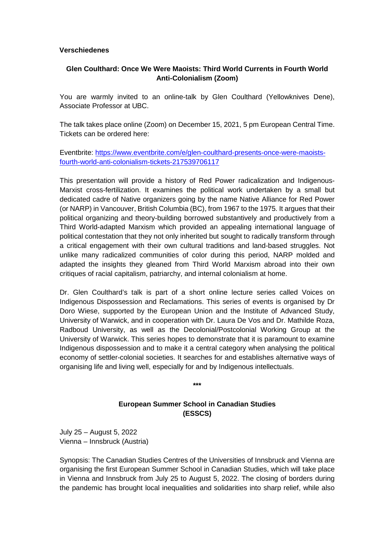#### **Verschiedenes**

# **Glen Coulthard: Once We Were Maoists: Third World Currents in Fourth World Anti-Colonialism (Zoom)**

You are warmly invited to an online-talk by Glen Coulthard (Yellowknives Dene), Associate Professor at UBC.

The talk takes place online (Zoom) on December 15, 2021, 5 pm European Central Time. Tickets can be ordered here:

Eventbrite: [https://www.eventbrite.com/e/glen-coulthard-presents-once-were-maoists](https://www.eventbrite.com/e/glen-coulthard-presents-once-were-maoists-fourth-world-anti-colonialism-tickets-217539706117)[fourth-world-anti-colonialism-tickets-217539706117](https://www.eventbrite.com/e/glen-coulthard-presents-once-were-maoists-fourth-world-anti-colonialism-tickets-217539706117)

This presentation will provide a history of Red Power radicalization and Indigenous-Marxist cross-fertilization. It examines the political work undertaken by a small but dedicated cadre of Native organizers going by the name Native Alliance for Red Power (or NARP) in Vancouver, British Columbia (BC), from 1967 to the 1975. It argues that their political organizing and theory-building borrowed substantively and productively from a Third World-adapted Marxism which provided an appealing international language of political contestation that they not only inherited but sought to radically transform through a critical engagement with their own cultural traditions and land-based struggles. Not unlike many radicalized communities of color during this period, NARP molded and adapted the insights they gleaned from Third World Marxism abroad into their own critiques of racial capitalism, patriarchy, and internal colonialism at home.

Dr. Glen Coulthard's talk is part of a short online lecture series called Voices on Indigenous Dispossession and Reclamations. This series of events is organised by Dr Doro Wiese, supported by the European Union and the Institute of Advanced Study, University of Warwick, and in cooperation with Dr. Laura De Vos and Dr. Mathilde Roza, Radboud University, as well as the Decolonial/Postcolonial Working Group at the University of Warwick. This series hopes to demonstrate that it is paramount to examine Indigenous dispossession and to make it a central category when analysing the political economy of settler-colonial societies. It searches for and establishes alternative ways of organising life and living well, especially for and by Indigenous intellectuals.

> **European Summer School in Canadian Studies (ESSCS)**

**\*\*\***

July 25 – August 5, 2022 Vienna – Innsbruck (Austria)

Synopsis: The Canadian Studies Centres of the Universities of Innsbruck and Vienna are organising the first European Summer School in Canadian Studies, which will take place in Vienna and Innsbruck from July 25 to August 5, 2022. The closing of borders during the pandemic has brought local inequalities and solidarities into sharp relief, while also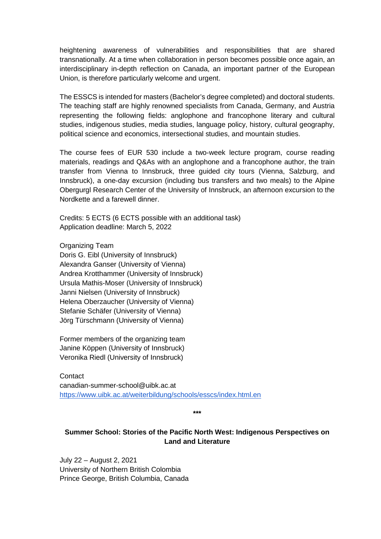heightening awareness of vulnerabilities and responsibilities that are shared transnationally. At a time when collaboration in person becomes possible once again, an interdisciplinary in-depth reflection on Canada, an important partner of the European Union, is therefore particularly welcome and urgent.

The ESSCS is intended for masters (Bachelor's degree completed) and doctoral students. The teaching staff are highly renowned specialists from Canada, Germany, and Austria representing the following fields: anglophone and francophone literary and cultural studies, indigenous studies, media studies, language policy, history, cultural geography, political science and economics, intersectional studies, and mountain studies.

The course fees of EUR 530 include a two-week lecture program, course reading materials, readings and Q&As with an anglophone and a francophone author, the train transfer from Vienna to Innsbruck, three guided city tours (Vienna, Salzburg, and Innsbruck), a one-day excursion (including bus transfers and two meals) to the Alpine Obergurgl Research Center of the University of Innsbruck, an afternoon excursion to the Nordkette and a farewell dinner.

Credits: 5 ECTS (6 ECTS possible with an additional task) Application deadline: March 5, 2022

Organizing Team Doris G. Eibl (University of Innsbruck) Alexandra Ganser (University of Vienna) Andrea Krotthammer (University of Innsbruck) Ursula Mathis-Moser (University of Innsbruck) Janni Nielsen (University of Innsbruck) Helena Oberzaucher (University of Vienna) Stefanie Schäfer (University of Vienna) Jörg Türschmann (University of Vienna)

Former members of the organizing team Janine Köppen (University of Innsbruck) Veronika Riedl (University of Innsbruck)

**Contact** canadian-summer-school@uibk.ac.at <https://www.uibk.ac.at/weiterbildung/schools/esscs/index.html.en>

**\*\*\***

# **Summer School: Stories of the Pacific North West: Indigenous Perspectives on Land and Literature**

July 22 – August 2, 2021 University of Northern British Colombia Prince George, British Columbia, Canada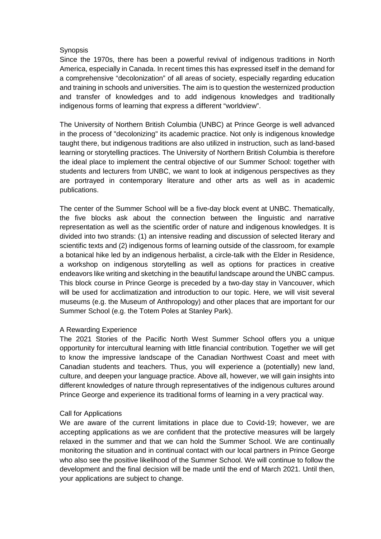### **Synopsis**

Since the 1970s, there has been a powerful revival of indigenous traditions in North America, especially in Canada. In recent times this has expressed itself in the demand for a comprehensive "decolonization" of all areas of society, especially regarding education and training in schools and universities. The aim is to question the westernized production and transfer of knowledges and to add indigenous knowledges and traditionally indigenous forms of learning that express a different "worldview".

The University of Northern British Columbia (UNBC) at Prince George is well advanced in the process of "decolonizing" its academic practice. Not only is indigenous knowledge taught there, but indigenous traditions are also utilized in instruction, such as land-based learning or storytelling practices. The University of Northern British Columbia is therefore the ideal place to implement the central objective of our Summer School: together with students and lecturers from UNBC, we want to look at indigenous perspectives as they are portrayed in contemporary literature and other arts as well as in academic publications.

The center of the Summer School will be a five-day block event at UNBC. Thematically, the five blocks ask about the connection between the linguistic and narrative representation as well as the scientific order of nature and indigenous knowledges. It is divided into two strands: (1) an intensive reading and discussion of selected literary and scientific texts and (2) indigenous forms of learning outside of the classroom, for example a botanical hike led by an indigenous herbalist, a circle-talk with the Elder in Residence, a workshop on indigenous storytelling as well as options for practices in creative endeavors like writing and sketching in the beautiful landscape around the UNBC campus. This block course in Prince George is preceded by a two-day stay in Vancouver, which will be used for acclimatization and introduction to our topic. Here, we will visit several museums (e.g. the Museum of Anthropology) and other places that are important for our Summer School (e.g. the Totem Poles at Stanley Park).

### A Rewarding Experience

The 2021 Stories of the Pacific North West Summer School offers you a unique opportunity for intercultural learning with little financial contribution. Together we will get to know the impressive landscape of the Canadian Northwest Coast and meet with Canadian students and teachers. Thus, you will experience a (potentially) new land, culture, and deepen your language practice. Above all, however, we will gain insights into different knowledges of nature through representatives of the indigenous cultures around Prince George and experience its traditional forms of learning in a very practical way.

### Call for Applications

We are aware of the current limitations in place due to Covid-19; however, we are accepting applications as we are confident that the protective measures will be largely relaxed in the summer and that we can hold the Summer School. We are continually monitoring the situation and in continual contact with our local partners in Prince George who also see the positive likelihood of the Summer School. We will continue to follow the development and the final decision will be made until the end of March 2021. Until then, your applications are subject to change.